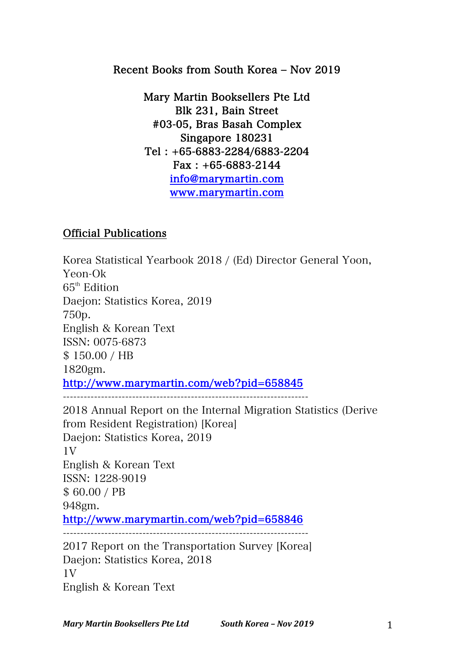## Recent Books from South Korea – Nov 2019

Mary Martin Booksellers Pte Ltd Blk 231, Bain Street #03-05, Bras Basah Complex Singapore 180231 Tel : +65-6883-2284/6883-2204 Fax : +65-6883-2144 info@marymartin.com www.marymartin.com

## Official Publications

Korea Statistical Yearbook 2018 / (Ed) Director General Yoon, Yeon-Ok  $65<sup>th</sup>$  Edition Daejon: Statistics Korea, 2019 750p. English & Korean Text ISSN: 0075-6873 \$ 150.00 / HB 1820gm. http://www.marymartin.com/web?pid=658845 -----------------------------------------------------------------------

2018 Annual Report on the Internal Migration Statistics (Derive from Resident Registration) [Korea] Daejon: Statistics Korea, 2019 1V English & Korean Text ISSN: 1228-9019 \$ 60.00 / PB 948gm. http://www.marymartin.com/web?pid=658846 ----------------------------------------------------------------------- 2017 Report on the Transportation Survey [Korea] Daejon: Statistics Korea, 2018 1V

English & Korean Text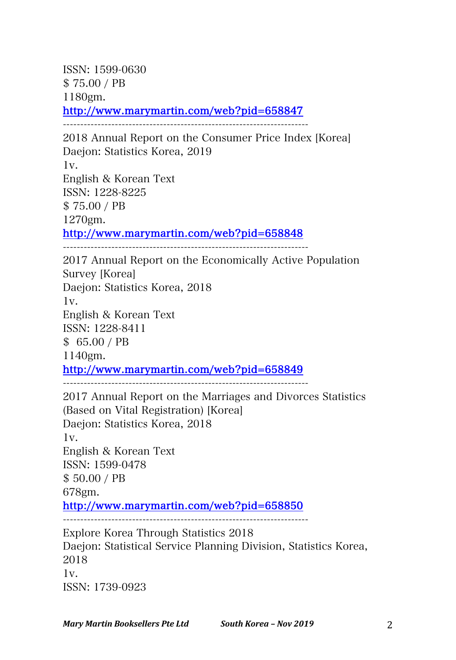ISSN: 1599-0630 \$ 75.00 / PB 1180gm. http://www.marymartin.com/web?pid=658847

-----------------------------------------------------------------------

2018 Annual Report on the Consumer Price Index [Korea] Daejon: Statistics Korea, 2019 1v. English & Korean Text ISSN: 1228-8225 \$ 75.00 / PB 1270gm. http://www.marymartin.com/web?pid=658848 -----------------------------------------------------------------------

2017 Annual Report on the Economically Active Population Survey [Korea] Daejon: Statistics Korea, 2018 1v. English & Korean Text ISSN: 1228-8411 \$ 65.00 / PB 1140gm. http://www.marymartin.com/web?pid=658849

-----------------------------------------------------------------------

2017 Annual Report on the Marriages and Divorces Statistics (Based on Vital Registration) [Korea] Daejon: Statistics Korea, 2018 1v. English & Korean Text ISSN: 1599-0478 \$ 50.00 / PB 678gm. http://www.marymartin.com/web?pid=658850 Explore Korea Through Statistics 2018 Daejon: Statistical Service Planning Division, Statistics Korea, 2018 1v. ISSN: 1739-0923